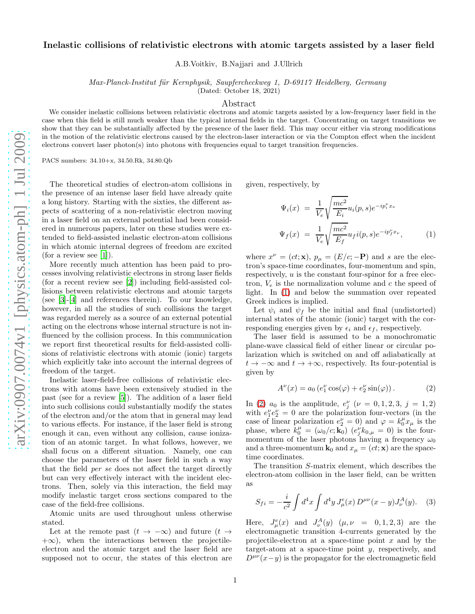## Inelastic collisions of relativistic electrons with atomic targets assisted by a laser field

A.B.Voitkiv, B.Najjari and J.Ullrich

Max-Planck-Institut für Kernphysik, Saupfercheckweg 1, D-69117 Heidelberg, Germany

(Dated: October 18, 2021)

## Abstract

We consider inelastic collisions between relativistic electrons and atomic targets assisted by a low-frequency laser field in the case when this field is still much weaker than the typical internal fields in the target. Concentrating on target transitions we show that they can be substantially affected by the presence of the laser field. This may occur either via strong modifications in the motion of the relativistic electrons caused by the electron-laser interaction or via the Compton effect when the incident electrons convert laser photon(s) into photons with frequencies equal to target transition frequencies.

PACS numbers: 34.10+x, 34.50.Rk, 34.80.Qb

The theoretical studies of electron-atom collisions in the presence of an intense laser field have already quite a long history. Starting with the sixties, the different aspects of scattering of a non-relativistic electron moving in a laser field on an external potential had been considered in numerous papers, later on these studies were extended to field-assisted inelastic electron-atom collisions in which atomic internal degrees of freedom are excited (for a review see  $[1]$ ).

More recently much attention has been paid to processes involving relativistic electrons in strong laser fields (for a recent review see [\[2\]](#page-3-1)) including field-assisted collisions between relativistic electrons and atomic targets (see [\[3\]](#page-3-2)-[\[4\]](#page-3-3) and references therein). To our knowledge, however, in all the studies of such collisions the target was regarded merely as a source of an external potential acting on the electrons whose internal structure is not influenced by the collision process. In this communication we report first theoretical results for field-assisted collisions of relativistic electrons with atomic (ionic) targets which explicitly take into account the internal degrees of freedom of the target.

Inelastic laser-field-free collisions of relativistic electrons with atoms have been extensively studied in the past (see for a review [\[5\]](#page-3-4)). The addition of a laser field into such collisions could substantially modify the states of the electron and/or the atom that in general may lead to various effects. For instance, if the laser field is strong enough it can, even without any collision, cause ionization of an atomic target. In what follows, however, we shall focus on a different situation. Namely, one can choose the parameters of the laser field in such a way that the field per se does not affect the target directly but can very effectively interact with the incident electrons. Then, solely via this interaction, the field may modify inelastic target cross sections compared to the case of the field-free collisions.

Atomic units are used throughout unless otherwise stated.

Let at the remote past  $(t \to -\infty)$  and future  $(t \to$  $+\infty$ ), when the interactions between the projectileelectron and the atomic target and the laser field are supposed not to occur, the states of this electron are given, respectively, by

<span id="page-0-0"></span>
$$
\Psi_i(x) = \frac{1}{V_e} \sqrt{\frac{mc^2}{E_i}} u_i(p, s) e^{-ip_i^{\nu}x_{\nu}}
$$
  

$$
\Psi_f(x) = \frac{1}{V_e} \sqrt{\frac{mc^2}{E_f}} u_f i(p, s) e^{-ip_f^{\nu}x_{\nu}},
$$
 (1)

where  $x^{\nu} = (ct; \mathbf{x}), p_{\mu} = (E/c; -\mathbf{P})$  and s are the electron's space-time coordinates, four-momentum and spin, respectively,  $u$  is the constant four-spinor for a free electron,  $V_e$  is the normalization volume and c the speed of light. In [\(1\)](#page-0-0) and below the summation over repeated Greek indices is implied.

Let  $\psi_i$  and  $\psi_f$  be the initial and final (undistorted) internal states of the atomic (ionic) target with the corresponding energies given by  $\epsilon_i$  and  $\epsilon_f$ , respectively.

The laser field is assumed to be a monochromatic plane-wave classical field of either linear or circular polarization which is switched on and off adiabatically at  $t \to -\infty$  and  $t \to +\infty$ , respectively. Its four-potential is given by

<span id="page-0-1"></span>
$$
A^{\nu}(x) = a_0 \left( e_1^{\nu} \cos(\varphi) + e_2^{\nu} \sin(\varphi) \right). \tag{2}
$$

In [\(2\)](#page-0-1)  $a_0$  is the amplitude,  $e_j^{\nu}$  ( $\nu = 0, 1, 2, 3, j = 1, 2$ ) with  $e_1^{\nu}e_2^{\nu} = 0$  are the polarization four-vectors (in the case of linear polarization  $e_2^{\nu} = 0$ ) and  $\varphi = k_0^{\mu} x_{\mu}$  is the phase, where  $k_0^{\mu} = (\omega_0/c; \mathbf{k}_0)$   $(e_j^{\nu} k_{0,\mu} = 0)$  is the fourmomentum of the laser photons having a frequency  $\omega_0$ and a three-momentum  $\mathbf{k}_0$  and  $x_\mu = (ct; \mathbf{x})$  are the spacetime coordinates.

The transition S-matrix element, which describes the electron-atom collision in the laser field, can be written as

<span id="page-0-2"></span>
$$
S_{fi} = -\frac{i}{c^2} \int d^4x \int d^4y J^e_\mu(x) D^{\mu\nu}(x-y) J^A_\nu(y). \quad (3)
$$

Here,  $J^e_{\mu}(x)$  and  $J^A_{\nu}(y)$   $(\mu, \nu = 0, 1, 2, 3)$  are the electromagnetic transition 4-currents generated by the projectile-electron at a space-time point  $x$  and by the target-atom at a space-time point  $y$ , respectively, and  $D^{\mu\nu}(x-y)$  is the propagator for the electromagnetic field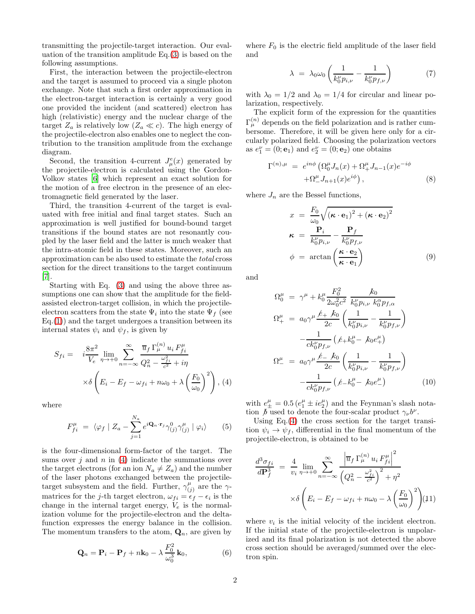transmitting the projectile-target interaction. Our evaluation of the transition amplitude Eq.[\(3\)](#page-0-2) is based on the following assumptions.

First, the interaction between the projectile-electron and the target is assumed to proceed via a single photon exchange. Note that such a first order approximation in the electron-target interaction is certainly a very good one provided the incident (and scattered) electron has high (relativistic) energy and the nuclear charge of the target  $Z_a$  is relatively low  $(Z_a \ll c)$ . The high energy of the projectile-electron also enables one to neglect the contribution to the transition amplitude from the exchange diagram.

Second, the transition 4-current  $J^e_\mu(x)$  generated by the projectile-electron is calculated using the Gordon-Volkov states [\[6](#page-3-5)] which represent an exact solution for the motion of a free electron in the presence of an electromagnetic field generated by the laser.

Third, the transition 4-current of the target is evaluated with free initial and final target states. Such an approximation is well justified for bound-bound target transitions if the bound states are not resonantly coupled by the laser field and the latter is much weaker that the intra-atomic field in these states. Moreover, such an approximation can be also used to estimate the total cross section for the direct transitions to the target continuum [\[7\]](#page-3-6).

Starting with Eq. [\(3\)](#page-0-2) and using the above three assumptions one can show that the amplitude for the fieldassisted electron-target collision, in which the projectileelectron scatters from the state  $\Psi_i$  into the state  $\Psi_f$  (see  $Eq.(1)$  $Eq.(1)$ ) and the target undergoes a transition between its internal states  $\psi_i$  and  $\psi_f$ , is given by

<span id="page-1-0"></span>
$$
S_{fi} = i \frac{8\pi^2}{V_e} \lim_{\eta \to +0} \sum_{n=-\infty}^{\infty} \frac{\overline{u}_f \Gamma_{\mu}^{(n)} u_i F_{fi}^{\mu}}{Q_n^2 - \frac{\omega_{fi}^2}{c^2} + i\eta} \times \delta \left( E_i - E_f - \omega_{fi} + n\omega_0 + \lambda \left( \frac{F_0}{\omega_0} \right)^2 \right), (4)
$$

where

$$
F_{fi}^{\mu} = \langle \varphi_f | Z_a - \sum_{j=1}^{N_a} e^{i \mathbf{Q}_n \cdot \mathbf{r}_j} \gamma_{(j)}^0 \gamma_{(j)}^{\mu} | \varphi_i \rangle \qquad (5)
$$

is the four-dimensional form-factor of the target. The sums over j and n in  $(4)$  indicate the summations over the target electrons (for an ion  $N_a \neq Z_a$ ) and the number of the laser photons exchanged between the projectiletarget subsystem and the field. Further,  $\gamma_{\alpha}^{\mu}$  $\binom{\mu}{j}$  are the  $\gamma$ matrices for the j-th target electron,  $\omega_{fi} = \epsilon_f - \epsilon_i$  is the change in the internal target energy,  $V_e$  is the normalization volume for the projectile-electron and the deltafunction expresses the energy balance in the collision. The momentum transfers to the atom,  $\mathbf{Q}_n$ , are given by

$$
\mathbf{Q}_n = \mathbf{P}_i - \mathbf{P}_f + n\mathbf{k}_0 - \lambda \frac{F_0^2}{\omega_0^3} \mathbf{k}_0, \tag{6}
$$

where  $F_0$  is the electric field amplitude of the laser field and

$$
\lambda = \lambda_0 \omega_0 \left( \frac{1}{k_0^{\nu} p_{i,\nu}} - \frac{1}{k_0^{\nu} p_{f,\nu}} \right) \tag{7}
$$

with  $\lambda_0 = 1/2$  and  $\lambda_0 = 1/4$  for circular and linear polarization, respectively.

The explicit form of the expression for the quantities  $\Gamma_{\mu}^{(n)}$  depends on the field polarization and is rather cumbersome. Therefore, it will be given here only for a circularly polarized field. Choosing the polarization vectors as  $e_1^{\nu} = (0; e_1)$  and  $e_2^{\nu} = (0; e_2)$  one obtains

$$
\Gamma^{(n),\mu} = e^{in\phi} \left( \Omega_0^{\mu} J_n(x) + \Omega_+^{\mu} J_{n-1}(x) e^{-i\phi} \right. \left. + \Omega_-^{\mu} J_{n+1}(x) e^{i\phi} \right), \tag{8}
$$

where  $J_n$  are the Bessel functions,

$$
x = \frac{F_0}{\omega_0} \sqrt{(\kappa \cdot \mathbf{e}_1)^2 + (\kappa \cdot \mathbf{e}_2)^2}
$$
  

$$
\kappa = \frac{\mathbf{P}_i}{k_0^{\nu} p_{i,\nu}} - \frac{\mathbf{P}_f}{k_0^{\nu} p_{f,\nu}}
$$
  

$$
\phi = \arctan\left(\frac{\kappa \cdot \mathbf{e}_2}{\kappa \cdot \mathbf{e}_1}\right)
$$
(9)

and

$$
\Omega_0^{\mu} = \gamma^{\mu} + k_0^{\mu} \frac{F_0^2}{2\omega_0^2 c^2} \frac{k_0}{k_0^{\nu} p_{i,\nu} k_0^{\alpha} p_{f,\alpha}}
$$
  
\n
$$
\Omega_+^{\mu} = a_0 \gamma^{\mu} \frac{\ell_+ k_0}{2c} \left( \frac{1}{k_0^{\nu} p_{i,\nu}} - \frac{1}{k_0^{\nu} p_{f,\nu}} \right)
$$
  
\n
$$
- \frac{1}{ck_0^{\nu} p_{f,\nu}} \left( \ell_+ k_0^{\mu} - k_0 e_+^{\mu} \right)
$$
  
\n
$$
\Omega_-^{\mu} = a_0 \gamma^{\mu} \frac{\ell_- k_0}{2c} \left( \frac{1}{k_0^{\nu} p_{i,\nu}} - \frac{1}{k_0^{\nu} p_{f,\nu}} \right)
$$
  
\n
$$
- \frac{1}{ck_0^{\nu} p_{f,\nu}} \left( \ell_- k_0^{\mu} - k_0 e_-^{\mu} \right) \tag{10}
$$

with  $e^{\mu}_{\pm} = 0.5 \left( e^{\mu}_1 \pm i e^{\mu}_2 \right)$  and the Feynman's slash notation  $\bar{b}$  used to denote the four-scalar product  $\gamma_{\nu}b^{\nu}$ .

Using  $Eq.(4)$  $Eq.(4)$  the cross section for the target transition  $\psi_i \to \psi_f$ , differential in the final momentum of the projectile-electron, is obtained to be

<span id="page-1-1"></span>
$$
\frac{d^3 \sigma_{fi}}{d\mathbf{P}_f^3} = \frac{4}{v_i} \lim_{\eta \to +0} \sum_{n=-\infty}^{\infty} \frac{\left| \overline{u}_f \Gamma_{\mu}^{(n)} u_i F_{fi}^{\mu} \right|^2}{\left( Q_n^2 - \frac{\omega_{fi}^2}{c^2} \right)^2 + \eta^2}
$$

$$
\times \delta \left( E_i - E_f - \omega_{fi} + n\omega_0 - \lambda \left( \frac{F_0}{\omega_0} \right)^2 \right) (11)
$$

 $\sigma$ 

where  $v_i$  is the initial velocity of the incident electron. If the initial state of the projectile-electron is unpolarized and its final polarization is not detected the above cross section should be averaged/summed over the electron spin.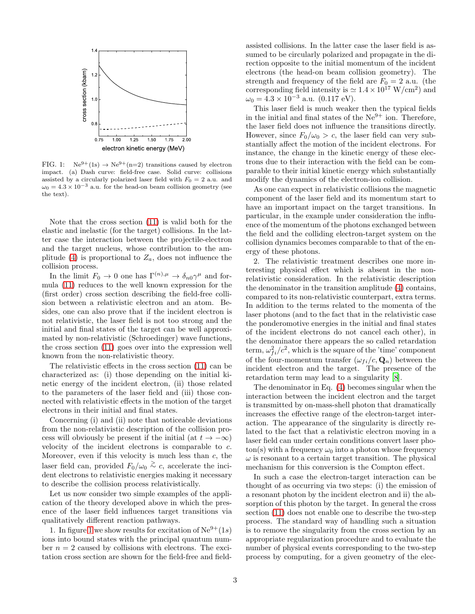

<span id="page-2-0"></span>FIG. 1:  $Ne^{9+}(1s) \rightarrow Ne^{9+}(n=2)$  transitions caused by electron impact. (a) Dash curve: field-free case. Solid curve: collisions assisted by a circularly polarized laser field with  $F_0 = 2$  a.u. and  $\omega_0 = 4.3 \times 10^{-3}$  a.u. for the head-on beam collision geometry (see the text).

Note that the cross section [\(11\)](#page-1-1) is valid both for the elastic and inelastic (for the target) collisions. In the latter case the interaction between the projectile-electron and the target nucleus, whose contribution to the am-plitude [\(4\)](#page-1-0) is proportional to  $Z_a$ , does not influence the collision process.

In the limit  $F_0 \to 0$  one has  $\Gamma^{(n),\mu} \to \delta_{n0} \gamma^{\mu}$  and formula [\(11\)](#page-1-1) reduces to the well known expression for the (first order) cross section describing the field-free collision between a relativistic electron and an atom. Besides, one can also prove that if the incident electron is not relativistic, the laser field is not too strong and the initial and final states of the target can be well approximated by non-relativistic (Schroedinger) wave functions, the cross section [\(11\)](#page-1-1) goes over into the expression well known from the non-relativistic theory.

The relativistic effects in the cross section [\(11\)](#page-1-1) can be characterized as: (i) those depending on the initial kinetic energy of the incident electron, (ii) those related to the parameters of the laser field and (iii) those connected with relativistic effects in the motion of the target electrons in their initial and final states.

Concerning (i) and (ii) note that noticeable deviations from the non-relativistic description of the collision process will obviously be present if the initial (at  $t \to -\infty$ ) velocity of the incident electrons is comparable to c. Moreover, even if this velocity is much less than  $c$ , the laser field can, provided  $F_0/\omega_0 \stackrel{\geq}{\sim} c$ , accelerate the incident electrons to relativistic energies making it necessary to describe the collision process relativistically.

Let us now consider two simple examples of the application of the theory developed above in which the presence of the laser field influences target transitions via qualitatively different reaction pathways.

1. In figure [1](#page-2-0) we show results for excitation of  $\text{Ne}^{9+}(1s)$ ions into bound states with the principal quantum number  $n = 2$  caused by collisions with electrons. The excitation cross section are shown for the field-free and fieldassisted collisions. In the latter case the laser field is assumed to be circularly polarized and propagate in the direction opposite to the initial momentum of the incident electrons (the head-on beam collision geometry). The strength and frequency of the field are  $F_0 = 2$  a.u. (the corresponding field intensity is  $\simeq 1.4 \times 10^{17} \text{ W/cm}^2$  and  $\omega_0 = 4.3 \times 10^{-3}$  a.u. (0.117 eV).

This laser field is much weaker then the typical fields in the initial and final states of the  $Ne^{9+}$  ion. Therefore, the laser field does not influence the transitions directly. However, since  $F_0/\omega_0 > c$ , the laser field can very substantially affect the motion of the incident electrons. For instance, the change in the kinetic energy of these electrons due to their interaction with the field can be comparable to their initial kinetic energy which substantially modify the dynamics of the electron-ion collision.

As one can expect in relativistic collisions the magnetic component of the laser field and its momentum start to have an important impact on the target transitions. In particular, in the example under consideration the influence of the momentum of the photons exchanged between the field and the colliding electron-target system on the collision dynamics becomes comparable to that of the energy of these photons.

2. The relativistic treatment describes one more interesting physical effect which is absent in the nonrelativistic consideration. In the relativistic description the denominator in the transition amplitude [\(4\)](#page-1-0) contains, compared to its non-relativistic counterpart, extra terms. In addition to the terms related to the momenta of the laser photons (and to the fact that in the relativistic case the ponderomotive energies in the initial and final states of the incident electrons do not cancel each other), in the denominator there appears the so called retardation term,  $\omega_{fi}^2/c^2$ , which is the square of the 'time' component of the four-momentum transfer  $(\omega_{fi}/c, \mathbf{Q}_n)$  between the incident electron and the target. The presence of the retardation term may lead to a singularity [\[8](#page-3-7)].

The denominator in Eq. [\(4\)](#page-1-0) becomes singular when the interaction between the incident electron and the target is transmitted by on-mass-shell photon that dramatically increases the effective range of the electron-target interaction. The appearance of the singularity is directly related to the fact that a relativistic electron moving in a laser field can under certain conditions convert laser photon(s) with a frequency  $\omega_0$  into a photon whose frequency  $\omega$  is resonant to a certain target transition. The physical mechanism for this conversion is the Compton effect.

In such a case the electron-target interaction can be thought of as occurring via two steps: (i) the emission of a resonant photon by the incident electron and ii) the absorption of this photon by the target. In general the cross section [\(11\)](#page-1-1) does not enable one to describe the two-step process. The standard way of handling such a situation is to remove the singularity from the cross section by an appropriate regularization procedure and to evaluate the number of physical events corresponding to the two-step process by computing, for a given geometry of the elec-